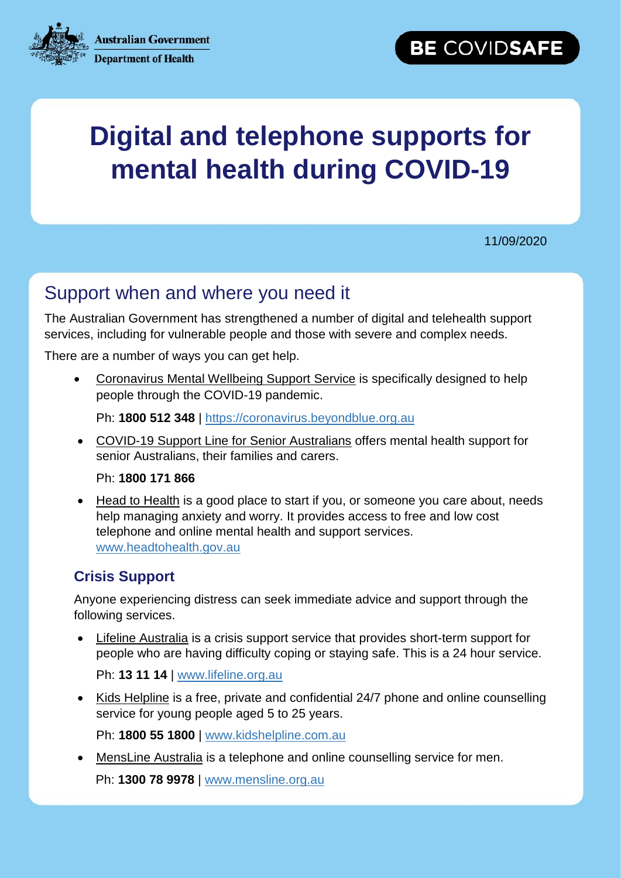**Australian Government** 



## **Department of Health**

# **Digital and telephone supports for mental health during COVID-19**

11/09/2020

## Support when and where you need it

The Australian Government has strengthened a number of digital and telehealth support services, including for vulnerable people and those with severe and complex needs.

There are a number of ways you can get help.

 Coronavirus Mental Wellbeing Support Service is specifically designed to help people through the COVID-19 pandemic.

Ph: **1800 512 348** | [https://coronavirus.beyondblue.org.au](https://coronavirus.beyondblue.org.au/)

 COVID-19 Support Line for Senior Australians offers mental health support for senior Australians, their families and carers.

Ph: **1800 171 866**

• Head to Health is a good place to start if you, or someone you care about, needs help managing anxiety and worry. It provides access to free and low cost telephone and online mental health and support services. [www.headtohealth.gov.au](http://www.headtohealth.gov.au/)

#### **Crisis Support**

Anyone experiencing distress can seek immediate advice and support through the following services.

 Lifeline Australia is a crisis support service that provides short-term support for people who are having difficulty coping or staying safe. This is a 24 hour service.

Ph: **13 11 14** | [www.lifeline.org.au](http://www.lifeline.org.au/)

• Kids Helpline is a free, private and confidential 24/7 phone and online counselling service for young people aged 5 to 25 years.

Ph: **1800 55 1800** | [www.kidshelpline.com.au](http://www.kidshelpline.com.au/)

 MensLine Australia is a telephone and online counselling service for men. Ph: **1300 78 9978** | [www.mensline.org.au](http://www.mensline.org.au/)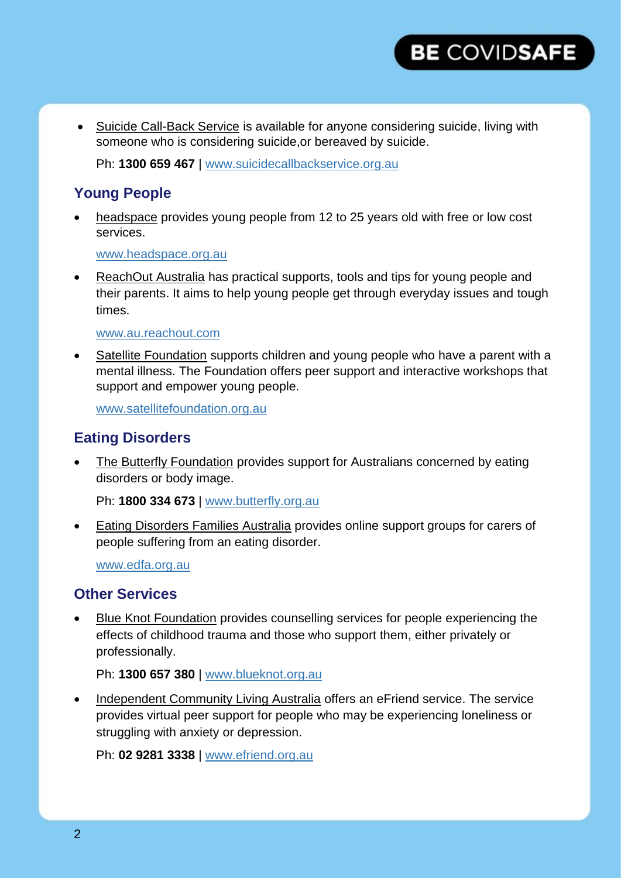

• Suicide Call-Back Service is available for anyone considering suicide, living with someone who is considering suicide, or bereaved by suicide.

Ph: **1300 659 467** | [www.suicidecallbackservice.org.au](http://www.suicidecallbackservice.org.au/)

#### **Young People**

 headspace provides young people from 12 to 25 years old with free or low cost services.

[www.headspace.org.au](http://www.headspace.org.au/)

 [ReachOut Australia](http://www.au.reachout.com/) has practical supports, tools and tips for young people and their parents. It aims to help young people get through everyday issues and tough times.

#### [www.au.reachout.com](http://www.au.reachout.com/)

Satellite Foundation supports children and young people who have a parent with a mental illness. The Foundation offers peer support and interactive workshops that support and empower young people.

[www.satellitefoundation.org.au](http://www.satellitefoundation.org.au/)

#### **Eating Disorders**

 The Butterfly Foundation provides support for Australians concerned by eating disorders or body image.

Ph: **1800 334 673** | [www.butterfly.org.au](http://www.butterfly.org.au/)

 Eating Disorders Families Australia provides online support groups for carers of people suffering from an eating disorder.

[www.edfa.org.au](http://www.edfa.org.au/)

#### **Other Services**

 Blue Knot Foundation provides counselling services for people experiencing the effects of childhood trauma and those who support them, either privately or professionally.

Ph: **1300 657 380** | [www.blueknot.org.au](http://www.blueknot.org.au/)

• Independent Community Living Australia offers an eFriend service. The service provides virtual peer support for people who may be experiencing loneliness or struggling with anxiety or depression.

Ph: **02 9281 3338** | [www.efriend.org.au](http://www.efriend.org.au/)